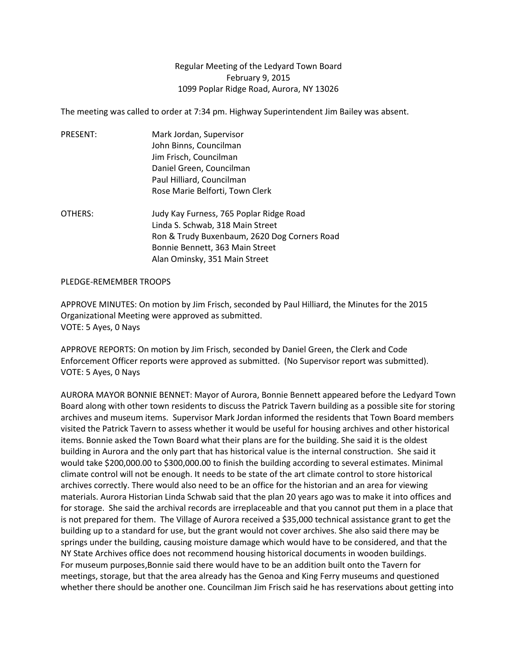## Regular Meeting of the Ledyard Town Board February 9, 2015 1099 Poplar Ridge Road, Aurora, NY 13026

The meeting was called to order at 7:34 pm. Highway Superintendent Jim Bailey was absent.

- PRESENT: Mark Jordan, Supervisor John Binns, Councilman Jim Frisch, Councilman Daniel Green, Councilman Paul Hilliard, Councilman Rose Marie Belforti, Town Clerk
- OTHERS: Judy Kay Furness, 765 Poplar Ridge Road Linda S. Schwab, 318 Main Street Ron & Trudy Buxenbaum, 2620 Dog Corners Road Bonnie Bennett, 363 Main Street Alan Ominsky, 351 Main Street

## PLEDGE-REMEMBER TROOPS

APPROVE MINUTES: On motion by Jim Frisch, seconded by Paul Hilliard, the Minutes for the 2015 Organizational Meeting were approved as submitted. VOTE: 5 Ayes, 0 Nays

APPROVE REPORTS: On motion by Jim Frisch, seconded by Daniel Green, the Clerk and Code Enforcement Officer reports were approved as submitted. (No Supervisor report was submitted). VOTE: 5 Ayes, 0 Nays

AURORA MAYOR BONNIE BENNET: Mayor of Aurora, Bonnie Bennett appeared before the Ledyard Town Board along with other town residents to discuss the Patrick Tavern building as a possible site for storing archives and museum items. Supervisor Mark Jordan informed the residents that Town Board members visited the Patrick Tavern to assess whether it would be useful for housing archives and other historical items. Bonnie asked the Town Board what their plans are for the building. She said it is the oldest building in Aurora and the only part that has historical value is the internal construction. She said it would take \$200,000.00 to \$300,000.00 to finish the building according to several estimates. Minimal climate control will not be enough. It needs to be state of the art climate control to store historical archives correctly. There would also need to be an office for the historian and an area for viewing materials. Aurora Historian Linda Schwab said that the plan 20 years ago was to make it into offices and for storage. She said the archival records are irreplaceable and that you cannot put them in a place that is not prepared for them. The Village of Aurora received a \$35,000 technical assistance grant to get the building up to a standard for use, but the grant would not cover archives. She also said there may be springs under the building, causing moisture damage which would have to be considered, and that the NY State Archives office does not recommend housing historical documents in wooden buildings. For museum purposes,Bonnie said there would have to be an addition built onto the Tavern for meetings, storage, but that the area already has the Genoa and King Ferry museums and questioned whether there should be another one. Councilman Jim Frisch said he has reservations about getting into